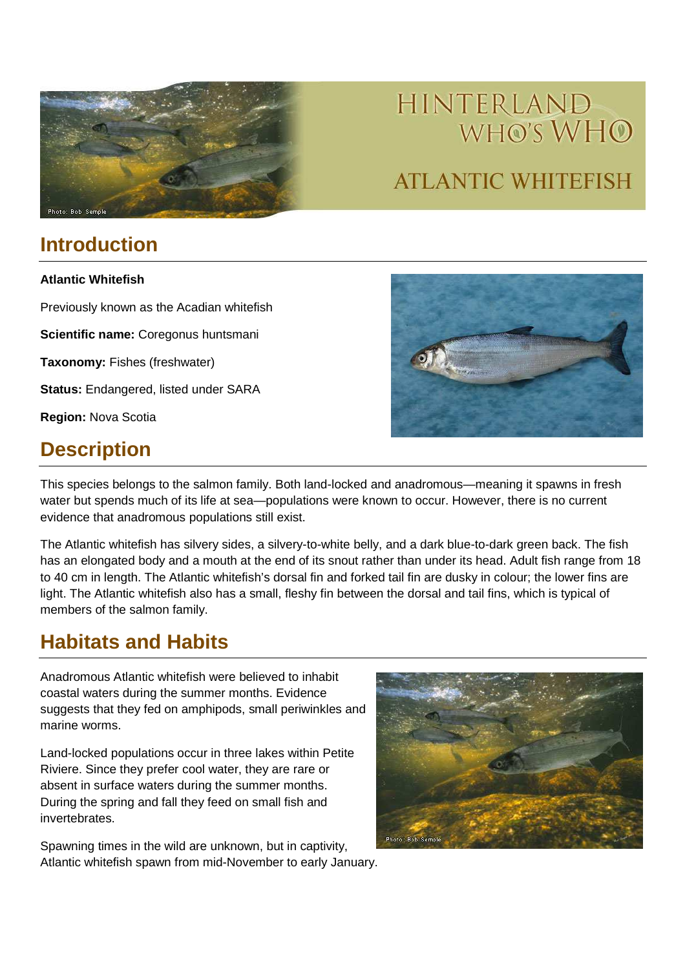

# HINTERLAND WHO'S WHO **ATLANTIC WHITEFISH**

# **Introduction**

**Atlantic Whitefish** 

Previously known as the Acadian whitefish

**Scientific name:** Coregonus huntsmani

**Taxonomy:** Fishes (freshwater)

**Status:** Endangered, listed under SARA

**Region:** Nova Scotia

# **Description**



This species belongs to the salmon family. Both land-locked and anadromous—meaning it spawns in fresh water but spends much of its life at sea—populations were known to occur. However, there is no current evidence that anadromous populations still exist.

The Atlantic whitefish has silvery sides, a silvery-to-white belly, and a dark blue-to-dark green back. The fish has an elongated body and a mouth at the end of its snout rather than under its head. Adult fish range from 18 to 40 cm in length. The Atlantic whitefish's dorsal fin and forked tail fin are dusky in colour; the lower fins are light. The Atlantic whitefish also has a small, fleshy fin between the dorsal and tail fins, which is typical of members of the salmon family.

### **Habitats and Habits**

Anadromous Atlantic whitefish were believed to inhabit coastal waters during the summer months. Evidence suggests that they fed on amphipods, small periwinkles and marine worms.

Land-locked populations occur in three lakes within Petite Riviere. Since they prefer cool water, they are rare or absent in surface waters during the summer months. During the spring and fall they feed on small fish and invertebrates.

Spawning times in the wild are unknown, but in captivity, Atlantic whitefish spawn from mid-November to early January.

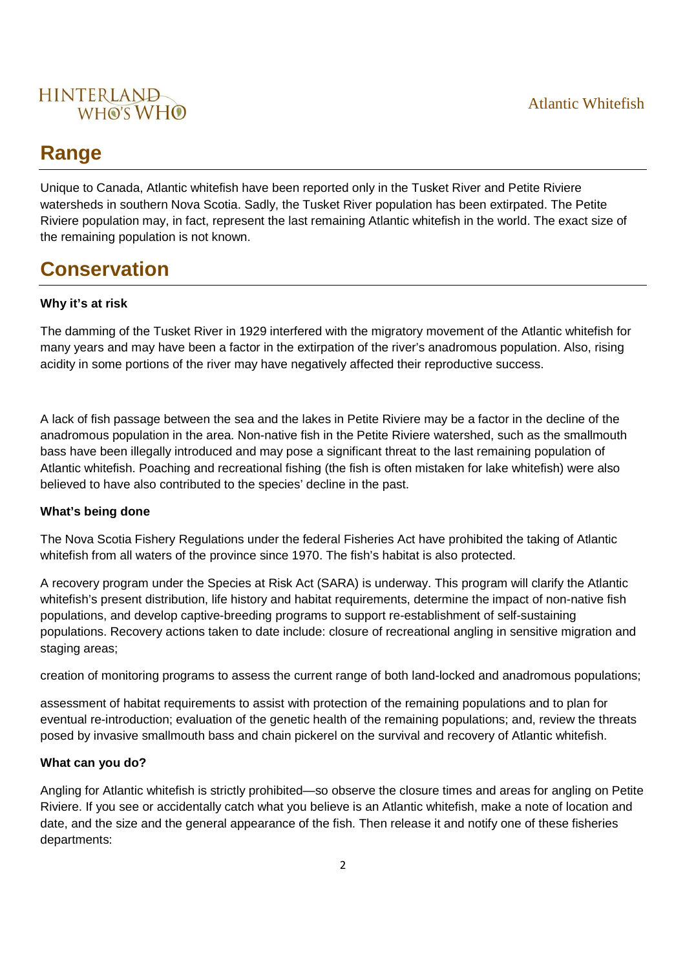

### **Range**

Unique to Canada, Atlantic whitefish have been reported only in the Tusket River and Petite Riviere watersheds in southern Nova Scotia. Sadly, the Tusket River population has been extirpated. The Petite Riviere population may, in fact, represent the last remaining Atlantic whitefish in the world. The exact size of the remaining population is not known.

# **Conservation**

#### **Why it's at risk**

The damming of the Tusket River in 1929 interfered with the migratory movement of the Atlantic whitefish for many years and may have been a factor in the extirpation of the river's anadromous population. Also, rising acidity in some portions of the river may have negatively affected their reproductive success.

A lack of fish passage between the sea and the lakes in Petite Riviere may be a factor in the decline of the anadromous population in the area. Non-native fish in the Petite Riviere watershed, such as the smallmouth bass have been illegally introduced and may pose a significant threat to the last remaining population of Atlantic whitefish. Poaching and recreational fishing (the fish is often mistaken for lake whitefish) were also believed to have also contributed to the species' decline in the past.

#### **What's being done**

The Nova Scotia Fishery Regulations under the federal Fisheries Act have prohibited the taking of Atlantic whitefish from all waters of the province since 1970. The fish's habitat is also protected.

A recovery program under the Species at Risk Act (SARA) is underway. This program will clarify the Atlantic whitefish's present distribution, life history and habitat requirements, determine the impact of non-native fish populations, and develop captive-breeding programs to support re-establishment of self-sustaining populations. Recovery actions taken to date include: closure of recreational angling in sensitive migration and staging areas;

creation of monitoring programs to assess the current range of both land-locked and anadromous populations;

assessment of habitat requirements to assist with protection of the remaining populations and to plan for eventual re-introduction; evaluation of the genetic health of the remaining populations; and, review the threats posed by invasive smallmouth bass and chain pickerel on the survival and recovery of Atlantic whitefish.

#### **What can you do?**

Angling for Atlantic whitefish is strictly prohibited—so observe the closure times and areas for angling on Petite Riviere. If you see or accidentally catch what you believe is an Atlantic whitefish, make a note of location and date, and the size and the general appearance of the fish. Then release it and notify one of these fisheries departments: